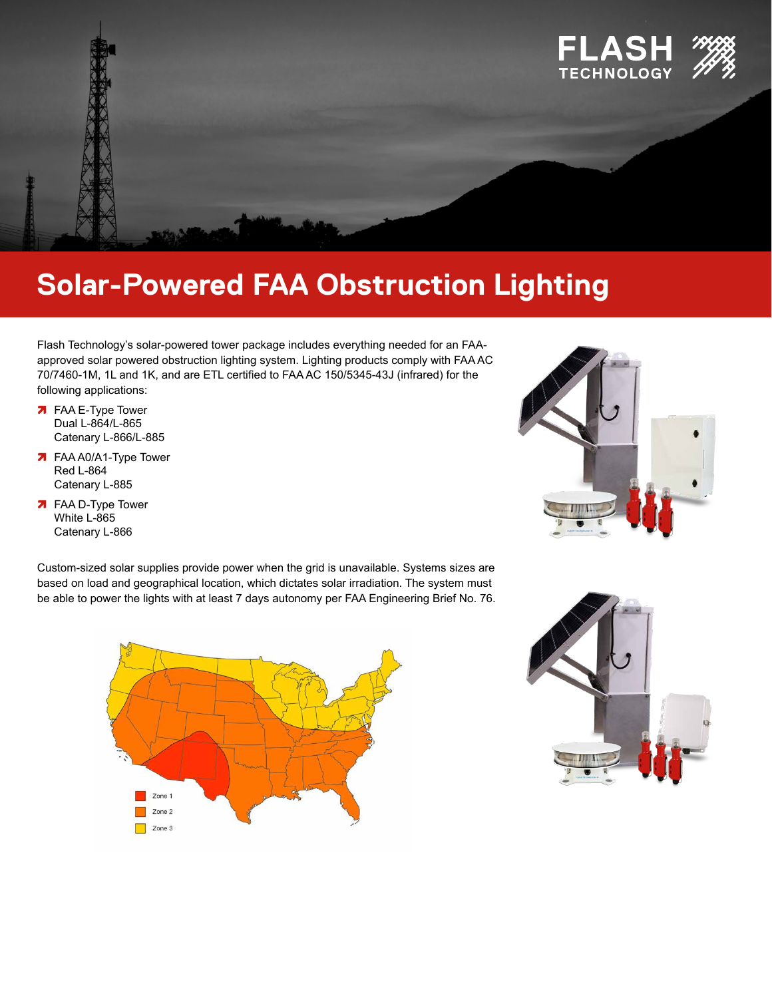

## **Solar-Powered FAA Obstruction Lighting**

Flash Technology's solar-powered tower package includes everything needed for an FAAapproved solar powered obstruction lighting system. Lighting products comply with FAA AC 70/7460-1M, 1L and 1K, and are ETL certified to FAA AC 150/5345-43J (infrared) for the following applications:

- **7** FAA E-Type Tower Dual L-864/L-865 Catenary L-866/L-885
- **7** FAA A0/A1-Type Tower Red L-864 Catenary L-885
- **7** FAA D-Type Tower White L-865 Catenary L-866

Custom-sized solar supplies provide power when the grid is unavailable. Systems sizes are based on load and geographical location, which dictates solar irradiation. The system must be able to power the lights with at least 7 days autonomy per FAA Engineering Brief No. 76.